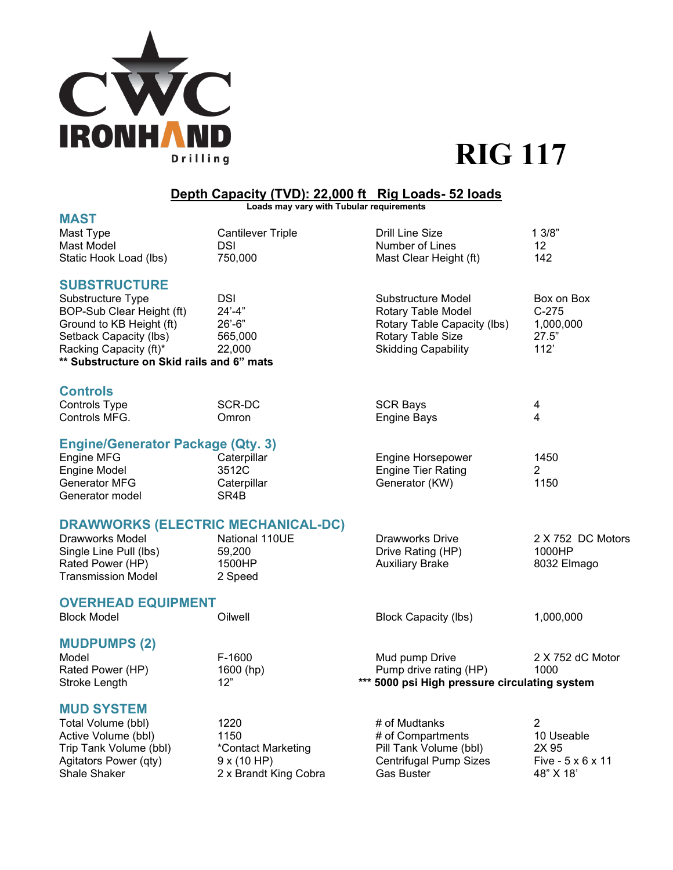

# **RIG 117**

#### **Depth Capacity (TVD): 22,000 ft Rig Loads- 52 loads**

**Loads may vary with Tubular requirements**

| <b>MAST</b>                               |                          |                                               |                   |
|-------------------------------------------|--------------------------|-----------------------------------------------|-------------------|
| Mast Type                                 | <b>Cantilever Triple</b> | <b>Drill Line Size</b>                        | 13/8"             |
| Mast Model                                | DSI                      | Number of Lines                               | 12                |
| Static Hook Load (lbs)                    | 750,000                  | Mast Clear Height (ft)                        | 142               |
|                                           |                          |                                               |                   |
| <b>SUBSTRUCTURE</b>                       |                          |                                               |                   |
| Substructure Type                         | <b>DSI</b>               | Substructure Model                            | Box on Box        |
| BOP-Sub Clear Height (ft)                 | $24' - 4"$               | Rotary Table Model                            | $C-275$           |
| Ground to KB Height (ft)                  | $26' - 6"$               | Rotary Table Capacity (lbs)                   | 1,000,000         |
| Setback Capacity (lbs)                    | 565,000                  | Rotary Table Size                             | 27.5"             |
| Racking Capacity (ft)*                    | 22,000                   | <b>Skidding Capability</b>                    | 112'              |
| ** Substructure on Skid rails and 6" mats |                          |                                               |                   |
|                                           |                          |                                               |                   |
| <b>Controls</b>                           |                          |                                               |                   |
| <b>Controls Type</b>                      | SCR-DC                   | <b>SCR Bays</b>                               | 4                 |
| Controls MFG.                             | Omron                    | <b>Engine Bays</b>                            | 4                 |
| <b>Engine/Generator Package (Qty. 3)</b>  |                          |                                               |                   |
| Engine MFG                                | Caterpillar              | Engine Horsepower                             | 1450              |
| <b>Engine Model</b>                       | 3512C                    | <b>Engine Tier Rating</b>                     | $\overline{2}$    |
| Generator MFG                             | Caterpillar              | Generator (KW)                                | 1150              |
| Generator model                           | SR4B                     |                                               |                   |
|                                           |                          |                                               |                   |
| <b>DRAWWORKS (ELECTRIC MECHANICAL-DC)</b> |                          |                                               |                   |
| Drawworks Model                           | National 110UE           | <b>Drawworks Drive</b>                        | 2 X 752 DC Motors |
| Single Line Pull (lbs)                    | 59,200                   | Drive Rating (HP)                             | 1000HP            |
| Rated Power (HP)                          | 1500HP                   | <b>Auxiliary Brake</b>                        | 8032 Elmago       |
| <b>Transmission Model</b>                 | 2 Speed                  |                                               |                   |
|                                           |                          |                                               |                   |
| <b>OVERHEAD EQUIPMENT</b>                 |                          |                                               |                   |
| <b>Block Model</b>                        | Oilwell                  | <b>Block Capacity (lbs)</b>                   | 1,000,000         |
|                                           |                          |                                               |                   |
| <b>MUDPUMPS (2)</b>                       |                          |                                               |                   |
| Model                                     | F-1600                   | Mud pump Drive                                | 2 X 752 dC Motor  |
| Rated Power (HP)                          | 1600 (hp)                | Pump drive rating (HP)                        | 1000              |
| Stroke Length                             | 12"                      | *** 5000 psi High pressure circulating system |                   |
| <b>MUD SYSTEM</b>                         |                          |                                               |                   |
| Total Volume (bbl)                        | 1220                     | # of Mudtanks                                 | $\overline{2}$    |
| Active Volume (bbl)                       | 1150                     | # of Compartments                             | 10 Useable        |
| Trip Tank Volume (bbl)                    | *Contact Marketing       | Pill Tank Volume (bbl)                        | 2X 95             |
| Agitators Power (qty)                     | 9x(10 HP)                | <b>Centrifugal Pump Sizes</b>                 | Five - 5 x 6 x 11 |
| <b>Shale Shaker</b>                       | 2 x Brandt King Cobra    | Gas Buster                                    | 48" X 18'         |
|                                           |                          |                                               |                   |
|                                           |                          |                                               |                   |